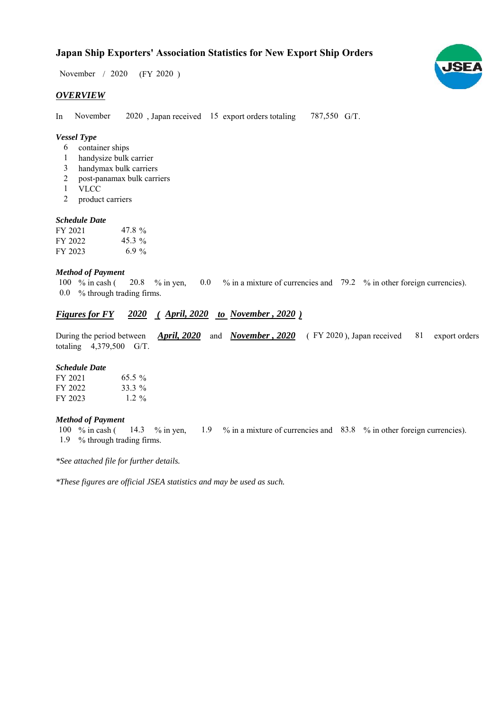$/ 2020$  (FY 2020) November / 2020

# *OVERVIEW*

In November 2020, Japan received 15 export orders totaling 787,550 G/T. November

# *Vessel Type*

- container ships 6
- handysize bulk carrier 1
- handymax bulk carriers 3
- post-panamax bulk carriers 2
- VLCC 1
- product carriers 2

## *Schedule Date*

| FY 2021 | 47.8%    |
|---------|----------|
| FY 2022 | $45.3\%$ |
| FY 2023 | 6.9 %    |

## *Method of Payment*

% in cash ( $\,20.8\quad\%$  in yen,  $\,0.0\quad\%$  in a mixture of currencies and  $\,79.2\quad\%$  in other foreign currencies). % through trading firms. 0.0 100  $%$  in cash (

# *Figures for FY* 2020 (*April, 2020 to November , 2020*)

During the period between *April, 2020* and *November, 2020* (FY 2020), Japan received 81 export orders totaling  $4,379,500$  G/T. 81 export orders

## *Schedule Date*

| FY 2021 | $65.5\%$ |
|---------|----------|
| FY 2022 | 33.3 %   |
| FY 2023 | $1.2\%$  |

#### *Method of Payment*

% in cash ( $\frac{14.3}{8}$  % in yen,  $\frac{1.9}{8}$  % in a mixture of currencies and 83.8 % in other foreign currencies). % through trading firms. 1.9 100  $\%$  in cash ( 14.3 % in yen,

*\*See attached file for further details.*

*\*These figures are official JSEA statistics and may be used as such.*

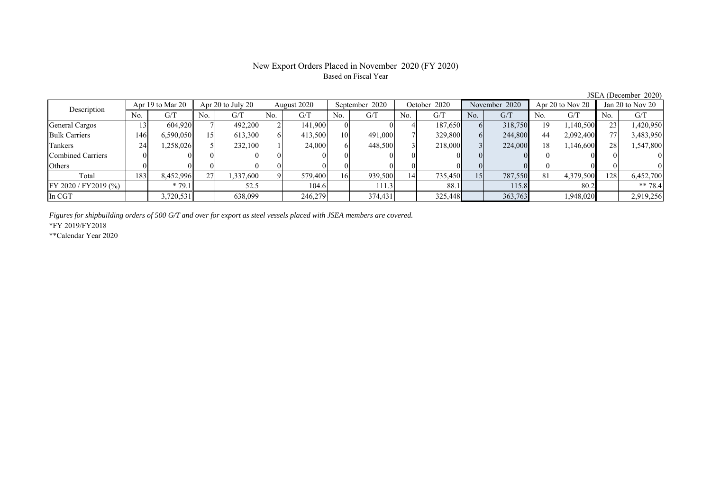# New Export Orders Placed in November 2020 (FY 2020) Based on Fiscal Year

No. G/T No. G/T No. G/T No. G/T No. G/T No. G/T No. G/T No. G/T General Cargos ( 13 604,920 7 492,200 2 141,900 0 0 4 187,650 6 318,750 19 1,140,500 23 1,420,950 Bulk Carriers 146 6,590,050 15 613,300 6 413,500 10 491,000 7 329,800 6 244,800 44 2,092,400 77 3,483,950 Tankers | 24 1,258,026 5 232,100 1 24,000 6 448,500 3 218,000 3 224,000 18 1,146,600 28 1,547,800 Combined Carriers 0 0 0 0 0 0 0 0 0 0 0 0 0 0 0 0 Others 0 0 0 0 0 0 0 0 0 0 0 0 0 0 0 0 Total 183 8,452,996 27 1,337,600 9 579,400 16 939,500 14 735,450 15 787,550 81 4,379,500 128 6,452,700 FY 2020 / FY2019 (%) \* 79.1 52.5 104.6 111.3 88.1 115.8 80.2 \*\* 78.4 In CGT 3,720,531 638,099 246,279 374,431 325,448 363,763 1,948,020 2,919,256 September 2020 Description Apr 19 to Mar 20 Apr 20 to July 20 August 2020 October 2020 November 2020 Apr 20 to Nov 20 Jan 20 to Nov 20

*Figures for shipbuilding orders of 500 G/T and over for export as steel vessels placed with JSEA members are covered.*

\*FY 2019/FY2018

\*\*Calendar Year 2020

JSEA (December 2020)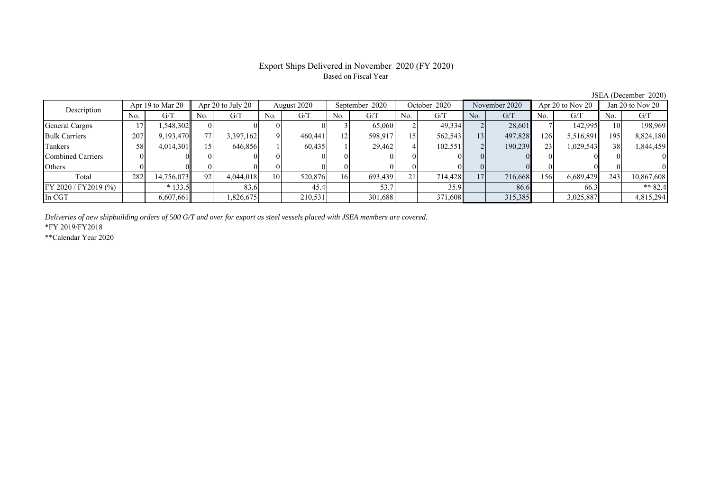# Export Ships Delivered in November 2020 (FY 2020) Based on Fiscal Year

No. G/T No. G/T No. G/T No. G/T No. G/T No. G/T No. G/T No. G/T General Cargos ( 17 1,548,302 0 0 0 0 0 0 3 65,060 2 49,334 2 28,601 7 142,995 10 198,969 Bulk Carriers 207 9,193,470 77 3,397,162 9 460,441 12 598,917 15 562,543 13 497,828 126 5,516,891 195 8,824,180 Tankers | 58| 4,014,301|| 15| 646,856| 1| 60,435| 1| 29,462| 4| 102,551| 2| 190,239| 23| 1,029,543|| 38| 1,844,459 Combined Carriers 0 0 0 0 0 0 0 0 0 0 0 0 0 0 0 0 Others 0 0 0 0 0 0 0 0 0 0 0 0 0 0 0 0 Total 282 14,756,073 92 4,044,018 10 520,876 16 693,439 21 714,428 17 716,668 156 6,689,429 243 10,867,608 FY 2020 / FY2019 (%) \* 133.5 83.6 45.4 53.7 35.9 86.6 66.3 \*\* 82.4 In CGT | | 6,607,661 | | 1,826,675 | | 210,531 | | 301,688 | | 371,608 | | 315,385 | | 3,025,887 || | 4,815,294 August 2020 September 2020 Description Apr 19 to Mar 20 Apr 20 to July 20 October 2020 November 2020 Apr 20 to Nov 20 Jan 20 to Nov 20

*Deliveries of new shipbuilding orders of 500 G/T and over for export as steel vessels placed with JSEA members are covered.*

\*FY 2019/FY2018

\*\*Calendar Year 2020

JSEA (December 2020)